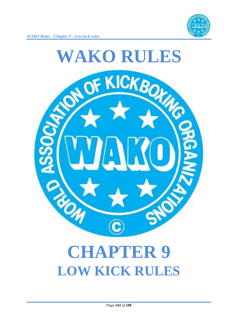



# **LOW KICK RULES**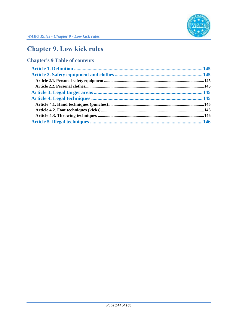

## **Chapter 9. Low kick rules**

## **Chapter's 9 Table of contents**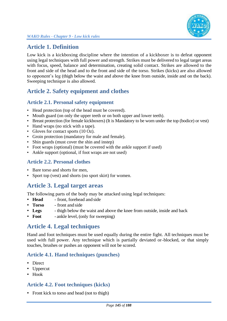

## **Article 1. Definition**

Low kick is a kickboxing discipline where the intention of a kickboxer is to defeat opponent using legal techniques with full power and strength. Strikes must be delivered to legal target areas with focus, speed, balance and determination, creating solid contact. Strikes are allowed to the front and side of the head and to the front and side of the torso. Strikes (kicks) are also allowed to opponent's leg (thigh below the waist and above the knee from outside, inside and on the back). Sweeping technique is also allowed.

## **Article 2. Safety equipment and clothes**

#### **Article 2.1. Personal safety equipment**

- Head protection (top of the head must be covered).
- Mouth guard (on only the upper teeth or on both upper and lower teeth).
- Breast protection (for female kickboxers) (It is Mandatory to be worn under the top (bodice) or vest)
- Hand wraps (no stick with a tape).
- Gloves for contact sports (10 Oz).
- Groin protection (mandatory for male and female).
- Shin guards (must cover the shin and instep)
- Foot wraps (optional) (must be covered with the ankle support if used)
- Ankle support (optional, if foot wraps are not used)

#### **Article 2.2. Personal clothes**

- Bare torso and shorts for men,
- Sport top (vest) and shorts (no sport skirt) for women.

## **Article 3. Legal target areas**

The following parts of the body may be attacked using legal techniques:

- **Head** front, forehead and side
- **Torso** front and side
- **Legs** thigh below the waist and above the knee from outside, inside and back
- **Foot** ankle level, (only for sweeping)

#### **Article 4. Legal techniques**

Hand and foot techniques must be used equally during the entire fight. All techniques must be used with full power. Any technique which is partially deviated or blocked, or that simply touches, brushes or pushes an opponent will not be scored.

#### **Article 4.1. Hand techniques (punches)**

- Direct
- Uppercut
- Hook

#### **Article 4.2. Foot techniques (kicks)**

• Front kick to torso and head (not to thigh)